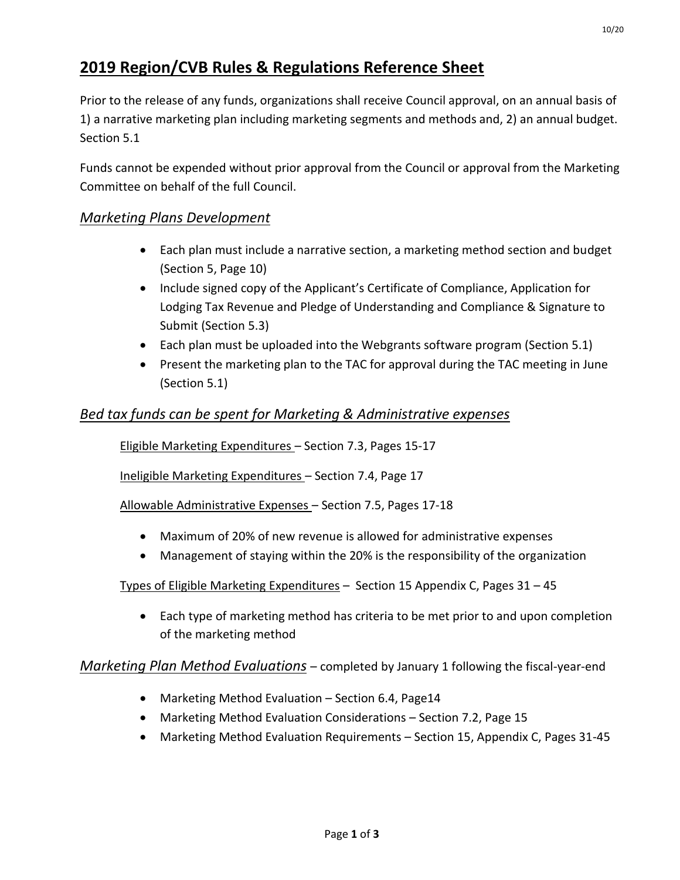# **2019 Region/CVB Rules & Regulations Reference Sheet**

Prior to the release of any funds, organizations shall receive Council approval, on an annual basis of 1) a narrative marketing plan including marketing segments and methods and, 2) an annual budget. Section 5.1

Funds cannot be expended without prior approval from the Council or approval from the Marketing Committee on behalf of the full Council.

## *Marketing Plans Development*

- Each plan must include a narrative section, a marketing method section and budget (Section 5, Page 10)
- Include signed copy of the Applicant's Certificate of Compliance, Application for Lodging Tax Revenue and Pledge of Understanding and Compliance & Signature to Submit (Section 5.3)
- Each plan must be uploaded into the Webgrants software program (Section 5.1)
- Present the marketing plan to the TAC for approval during the TAC meeting in June (Section 5.1)

## *Bed tax funds can be spent for Marketing & Administrative expenses*

Eligible Marketing Expenditures – Section 7.3, Pages 15-17

Ineligible Marketing Expenditures – Section 7.4, Page 17

Allowable Administrative Expenses – Section 7.5, Pages 17-18

- Maximum of 20% of new revenue is allowed for administrative expenses
- Management of staying within the 20% is the responsibility of the organization

#### Types of Eligible Marketing Expenditures – Section 15 Appendix C, Pages 31 – 45

• Each type of marketing method has criteria to be met prior to and upon completion of the marketing method

*Marketing Plan Method Evaluations* – completed by January 1 following the fiscal-year-end

- Marketing Method Evaluation Section 6.4, Page14
- Marketing Method Evaluation Considerations Section 7.2, Page 15
- Marketing Method Evaluation Requirements Section 15, Appendix C, Pages 31-45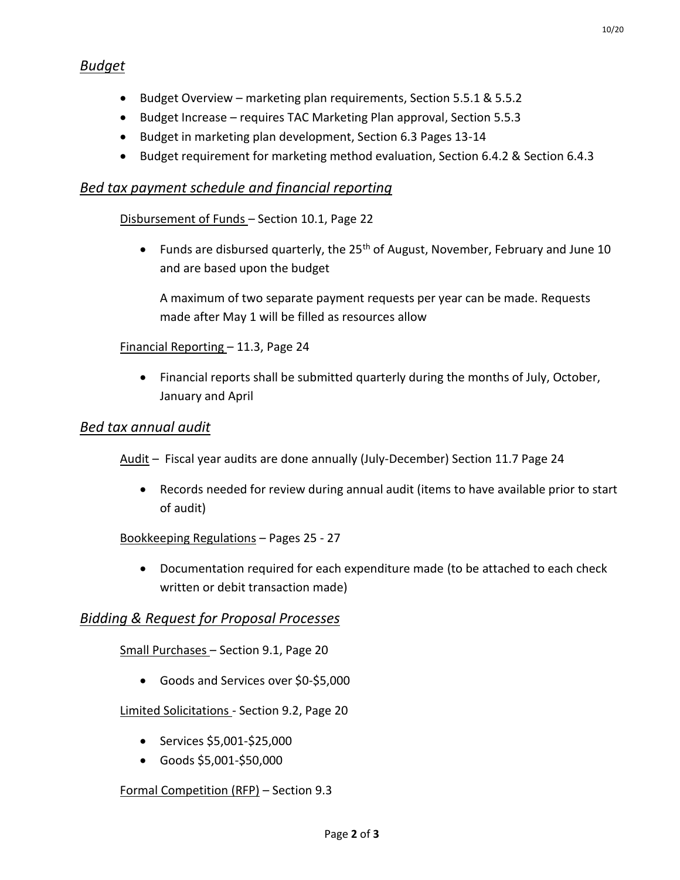- Budget Overview marketing plan requirements, Section 5.5.1 & 5.5.2
- Budget Increase requires TAC Marketing Plan approval, Section 5.5.3
- Budget in marketing plan development, Section 6.3 Pages 13-14
- Budget requirement for marketing method evaluation, Section 6.4.2 & Section 6.4.3

### *Bed tax payment schedule and financial reporting*

#### Disbursement of Funds – Section 10.1, Page 22

• Funds are disbursed quarterly, the 25<sup>th</sup> of August, November, February and June 10 and are based upon the budget

A maximum of two separate payment requests per year can be made. Requests made after May 1 will be filled as resources allow

#### Financial Reporting – 11.3, Page 24

• Financial reports shall be submitted quarterly during the months of July, October, January and April

#### *Bed tax annual audit*

Audit - Fiscal year audits are done annually (July-December) Section 11.7 Page 24

• Records needed for review during annual audit (items to have available prior to start of audit)

#### Bookkeeping Regulations – Pages 25 - 27

• Documentation required for each expenditure made (to be attached to each check written or debit transaction made)

#### *Bidding & Request for Proposal Processes*

Small Purchases – Section 9.1, Page 20

• Goods and Services over \$0-\$5,000

Limited Solicitations - Section 9.2, Page 20

- Services \$5,001-\$25,000
- Goods \$5,001-\$50,000

#### Formal Competition (RFP) – Section 9.3